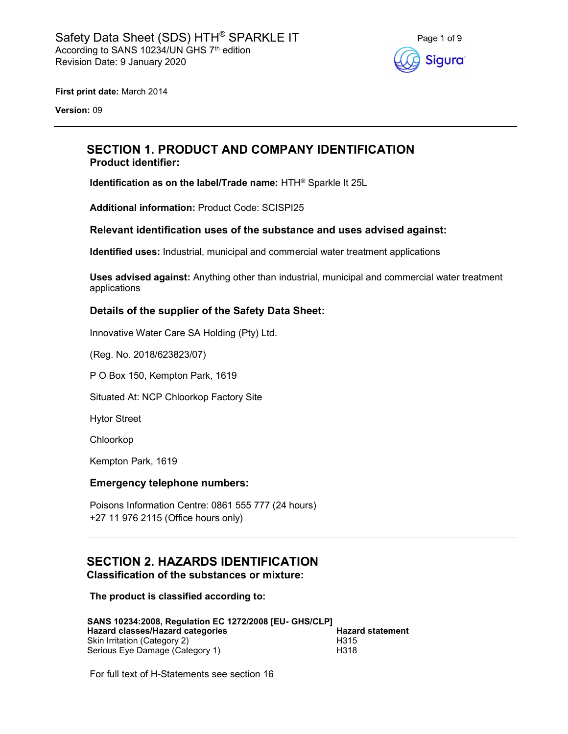

First print date: March 2014

Version: 09

# SECTION 1. PRODUCT AND COMPANY IDENTIFICATION Product identifier:

Identification as on the label/Trade name: HTH® Sparkle It 25L

Additional information: Product Code: SCISPI25

## Relevant identification uses of the substance and uses advised against:

Identified uses: Industrial, municipal and commercial water treatment applications

Uses advised against: Anything other than industrial, municipal and commercial water treatment applications

## Details of the supplier of the Safety Data Sheet:

Innovative Water Care SA Holding (Pty) Ltd.

(Reg. No. 2018/623823/07)

P O Box 150, Kempton Park, 1619

Situated At: NCP Chloorkop Factory Site

Hytor Street

Chloorkop

Kempton Park, 1619

#### Emergency telephone numbers:

Poisons Information Centre: 0861 555 777 (24 hours) +27 11 976 2115 (Office hours only)

# SECTION 2. HAZARDS IDENTIFICATION Classification of the substances or mixture:

The product is classified according to:

| SANS 10234:2008, Regulation EC 1272/2008 [EU- GHS/CLP] |                         |
|--------------------------------------------------------|-------------------------|
| Hazard classes/Hazard categories                       | <b>Hazard statement</b> |
| Skin Irritation (Category 2)                           | H <sub>315</sub>        |
| Serious Eye Damage (Category 1)                        | H318                    |

For full text of H-Statements see section 16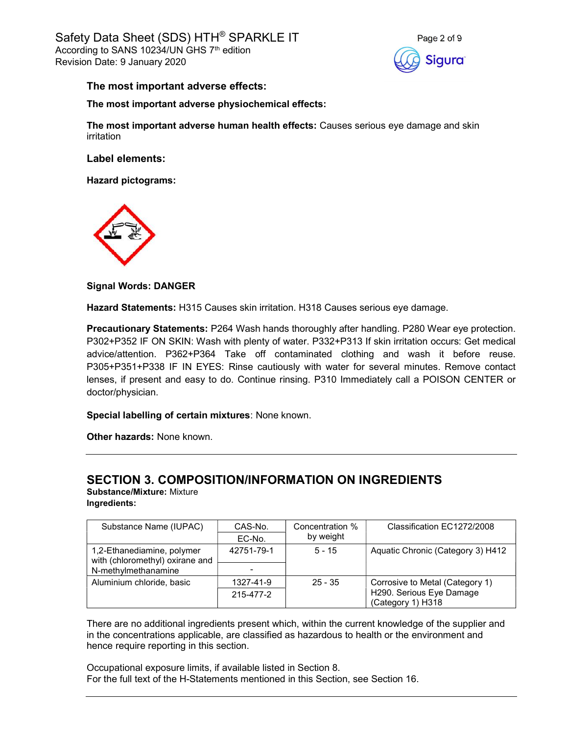

## The most important adverse effects:

#### The most important adverse physiochemical effects:

The most important adverse human health effects: Causes serious eye damage and skin irritation

Label elements:

Hazard pictograms:



Signal Words: DANGER

Hazard Statements: H315 Causes skin irritation. H318 Causes serious eye damage.

Precautionary Statements: P264 Wash hands thoroughly after handling. P280 Wear eye protection. P302+P352 IF ON SKIN: Wash with plenty of water. P332+P313 If skin irritation occurs: Get medical advice/attention. P362+P364 Take off contaminated clothing and wash it before reuse. P305+P351+P338 IF IN EYES: Rinse cautiously with water for several minutes. Remove contact lenses, if present and easy to do. Continue rinsing. P310 Immediately call a POISON CENTER or doctor/physician.

Special labelling of certain mixtures: None known.

Other hazards: None known.

# SECTION 3. COMPOSITION/INFORMATION ON INGREDIENTS

Substance/Mixture: Mixture Ingredients:

| Substance Name (IUPAC)                                        | CAS-No.<br>EC-No. | Concentration %<br>by weight | Classification EC1272/2008        |
|---------------------------------------------------------------|-------------------|------------------------------|-----------------------------------|
| 1,2-Ethanediamine, polymer<br>with (chloromethyl) oxirane and | 42751-79-1        | $5 - 15$                     | Aquatic Chronic (Category 3) H412 |
| N-methylmethanamine                                           |                   |                              |                                   |
| Aluminium chloride, basic                                     | 1327-41-9         | $25 - 35$                    | Corrosive to Metal (Category 1)   |
|                                                               | 215-477-2         |                              | H290. Serious Eye Damage          |
|                                                               |                   |                              | (Category 1) H318                 |

There are no additional ingredients present which, within the current knowledge of the supplier and in the concentrations applicable, are classified as hazardous to health or the environment and hence require reporting in this section.

Occupational exposure limits, if available listed in Section 8. For the full text of the H-Statements mentioned in this Section, see Section 16.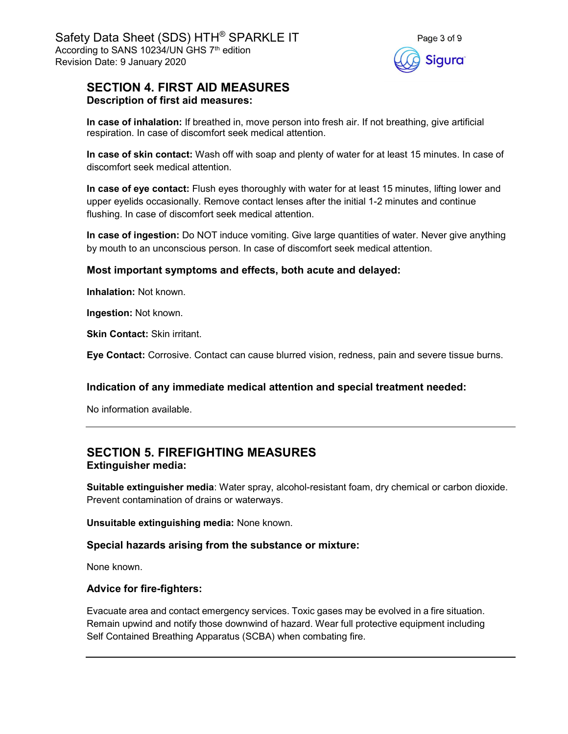

# SECTION 4. FIRST AID MEASURES Description of first aid measures:

In case of inhalation: If breathed in, move person into fresh air. If not breathing, give artificial respiration. In case of discomfort seek medical attention.

In case of skin contact: Wash off with soap and plenty of water for at least 15 minutes. In case of discomfort seek medical attention.

In case of eye contact: Flush eyes thoroughly with water for at least 15 minutes, lifting lower and upper eyelids occasionally. Remove contact lenses after the initial 1-2 minutes and continue flushing. In case of discomfort seek medical attention.

In case of ingestion: Do NOT induce vomiting. Give large quantities of water. Never give anything by mouth to an unconscious person. In case of discomfort seek medical attention.

# Most important symptoms and effects, both acute and delayed:

Inhalation: Not known.

Ingestion: Not known.

Skin Contact: Skin irritant.

Eye Contact: Corrosive. Contact can cause blurred vision, redness, pain and severe tissue burns.

# Indication of any immediate medical attention and special treatment needed:

No information available.

# SECTION 5. FIREFIGHTING MEASURES Extinguisher media:

Suitable extinguisher media: Water spray, alcohol-resistant foam, dry chemical or carbon dioxide. Prevent contamination of drains or waterways.

Unsuitable extinguishing media: None known.

# Special hazards arising from the substance or mixture:

None known.

# Advice for fire-fighters:

Evacuate area and contact emergency services. Toxic gases may be evolved in a fire situation. Remain upwind and notify those downwind of hazard. Wear full protective equipment including Self Contained Breathing Apparatus (SCBA) when combating fire.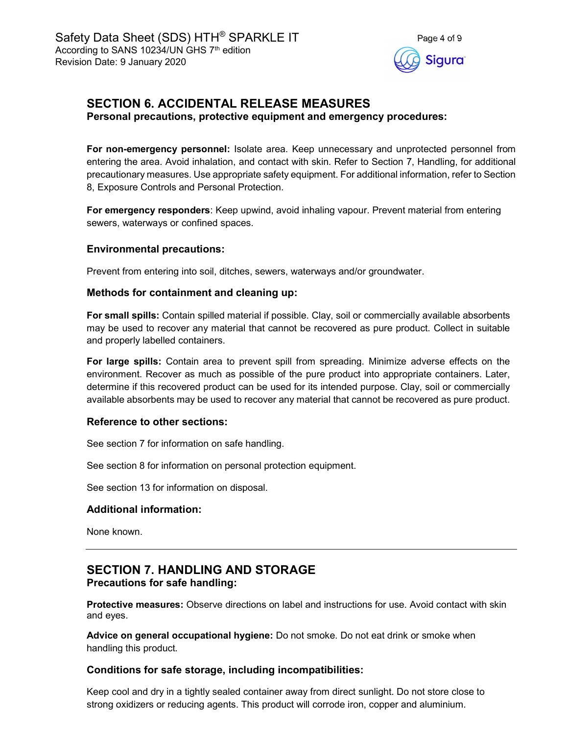

# SECTION 6. ACCIDENTAL RELEASE MEASURES

Personal precautions, protective equipment and emergency procedures:

For non-emergency personnel: Isolate area. Keep unnecessary and unprotected personnel from entering the area. Avoid inhalation, and contact with skin. Refer to Section 7, Handling, for additional precautionary measures. Use appropriate safety equipment. For additional information, refer to Section 8, Exposure Controls and Personal Protection.

For emergency responders: Keep upwind, avoid inhaling vapour. Prevent material from entering sewers, waterways or confined spaces.

## Environmental precautions:

Prevent from entering into soil, ditches, sewers, waterways and/or groundwater.

## Methods for containment and cleaning up:

For small spills: Contain spilled material if possible. Clay, soil or commercially available absorbents may be used to recover any material that cannot be recovered as pure product. Collect in suitable and properly labelled containers.

For large spills: Contain area to prevent spill from spreading. Minimize adverse effects on the environment. Recover as much as possible of the pure product into appropriate containers. Later, determine if this recovered product can be used for its intended purpose. Clay, soil or commercially available absorbents may be used to recover any material that cannot be recovered as pure product.

#### Reference to other sections:

See section 7 for information on safe handling.

See section 8 for information on personal protection equipment.

See section 13 for information on disposal.

# Additional information:

None known.

# SECTION 7. HANDLING AND STORAGE Precautions for safe handling:

Protective measures: Observe directions on label and instructions for use. Avoid contact with skin and eyes.

Advice on general occupational hygiene: Do not smoke. Do not eat drink or smoke when handling this product.

# Conditions for safe storage, including incompatibilities:

Keep cool and dry in a tightly sealed container away from direct sunlight. Do not store close to strong oxidizers or reducing agents. This product will corrode iron, copper and aluminium.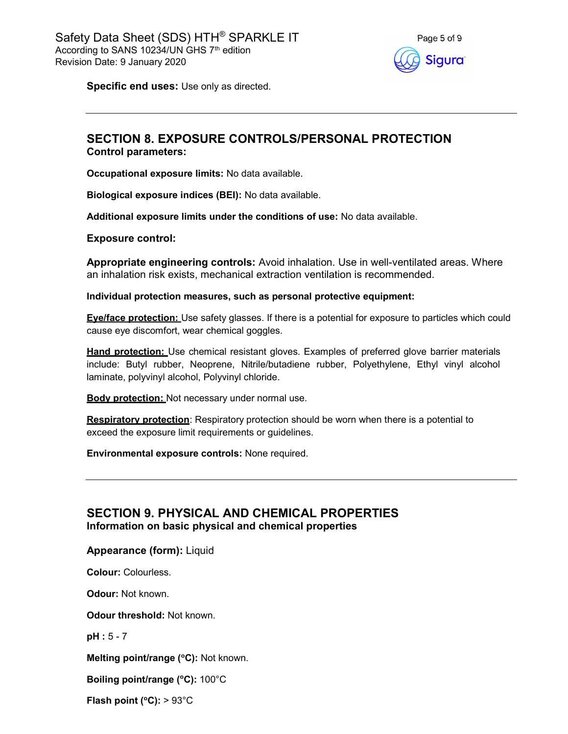

Specific end uses: Use only as directed.

# SECTION 8. EXPOSURE CONTROLS/PERSONAL PROTECTION Control parameters:

Occupational exposure limits: No data available.

Biological exposure indices (BEI): No data available.

Additional exposure limits under the conditions of use: No data available.

Exposure control:

Appropriate engineering controls: Avoid inhalation. Use in well-ventilated areas. Where an inhalation risk exists, mechanical extraction ventilation is recommended.

Individual protection measures, such as personal protective equipment:

**Eve/face protection:** Use safety glasses. If there is a potential for exposure to particles which could cause eye discomfort, wear chemical goggles.

**Hand protection:** Use chemical resistant gloves. Examples of preferred glove barrier materials include: Butyl rubber, Neoprene, Nitrile/butadiene rubber, Polyethylene, Ethyl vinyl alcohol laminate, polyvinyl alcohol, Polyvinyl chloride.

**Body protection:** Not necessary under normal use.

**Respiratory protection:** Respiratory protection should be worn when there is a potential to exceed the exposure limit requirements or guidelines.

Environmental exposure controls: None required.

# SECTION 9. PHYSICAL AND CHEMICAL PROPERTIES Information on basic physical and chemical properties

Appearance (form): Liquid

Colour: Colourless.

Odour: Not known.

Odour threshold: Not known.

pH : 5 - 7

Melting point/range (°C): Not known.

Boiling point/range (°C): 100°C

Flash point ( $^{\circ}$ C): > 93 $^{\circ}$ C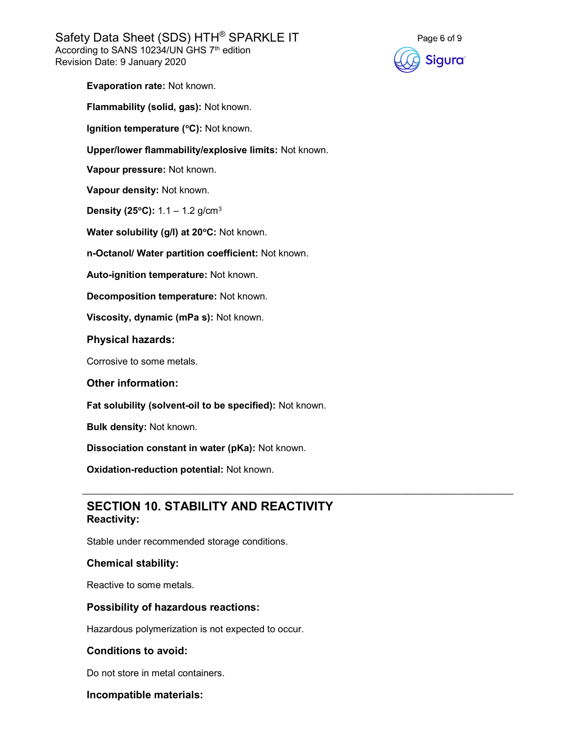Safety Data Sheet (SDS) HTH® SPARKLE IT According to SANS 10234/UN GHS 7<sup>th</sup> edition Revision Date: 9 January 2020



Evaporation rate: Not known.

Flammability (solid, gas): Not known.

Ignition temperature (°C): Not known.

Upper/lower flammability/explosive limits: Not known.

Vapour pressure: Not known.

Vapour density: Not known.

**Density (25°C):**  $1.1 - 1.2$  g/cm<sup>3</sup>

Water solubility (g/l) at 20°C: Not known.

n-Octanol/ Water partition coefficient: Not known.

Auto-ignition temperature: Not known.

Decomposition temperature: Not known.

Viscosity, dynamic (mPa s): Not known.

Physical hazards:

Corrosive to some metals.

#### Other information:

Fat solubility (solvent-oil to be specified): Not known.

Bulk density: Not known.

Dissociation constant in water (pKa): Not known.

Oxidation-reduction potential: Not known.

# SECTION 10. STABILITY AND REACTIVITY Reactivity:

 $\mathcal{L}_\mathcal{L} = \mathcal{L}_\mathcal{L} = \mathcal{L}_\mathcal{L} = \mathcal{L}_\mathcal{L} = \mathcal{L}_\mathcal{L} = \mathcal{L}_\mathcal{L} = \mathcal{L}_\mathcal{L} = \mathcal{L}_\mathcal{L} = \mathcal{L}_\mathcal{L} = \mathcal{L}_\mathcal{L} = \mathcal{L}_\mathcal{L} = \mathcal{L}_\mathcal{L} = \mathcal{L}_\mathcal{L} = \mathcal{L}_\mathcal{L} = \mathcal{L}_\mathcal{L} = \mathcal{L}_\mathcal{L} = \mathcal{L}_\mathcal{L}$ 

Stable under recommended storage conditions.

#### Chemical stability:

Reactive to some metals.

#### Possibility of hazardous reactions:

Hazardous polymerization is not expected to occur.

#### Conditions to avoid:

Do not store in metal containers.

#### Incompatible materials: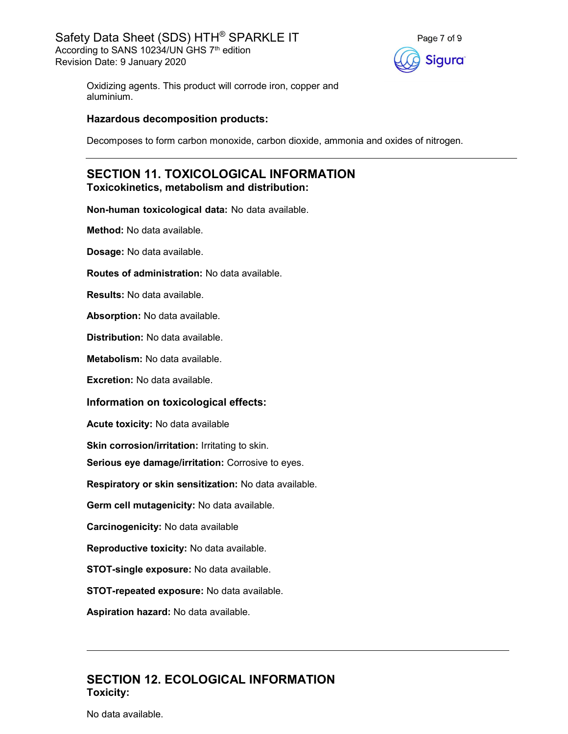

Oxidizing agents. This product will corrode iron, copper and aluminium.

#### Hazardous decomposition products:

Decomposes to form carbon monoxide, carbon dioxide, ammonia and oxides of nitrogen.

# SECTION 11. TOXICOLOGICAL INFORMATION Toxicokinetics, metabolism and distribution:

Non-human toxicological data: No data available.

Method: No data available.

Dosage: No data available.

Routes of administration: No data available.

Results: No data available.

Absorption: No data available.

Distribution: No data available.

Metabolism: No data available.

Excretion: No data available.

#### Information on toxicological effects:

Acute toxicity: No data available

Skin corrosion/irritation: Irritating to skin.

Serious eye damage/irritation: Corrosive to eyes.

Respiratory or skin sensitization: No data available.

Germ cell mutagenicity: No data available.

Carcinogenicity: No data available

Reproductive toxicity: No data available.

STOT-single exposure: No data available.

STOT-repeated exposure: No data available.

Aspiration hazard: No data available.

# SECTION 12. ECOLOGICAL INFORMATION Toxicity:

No data available.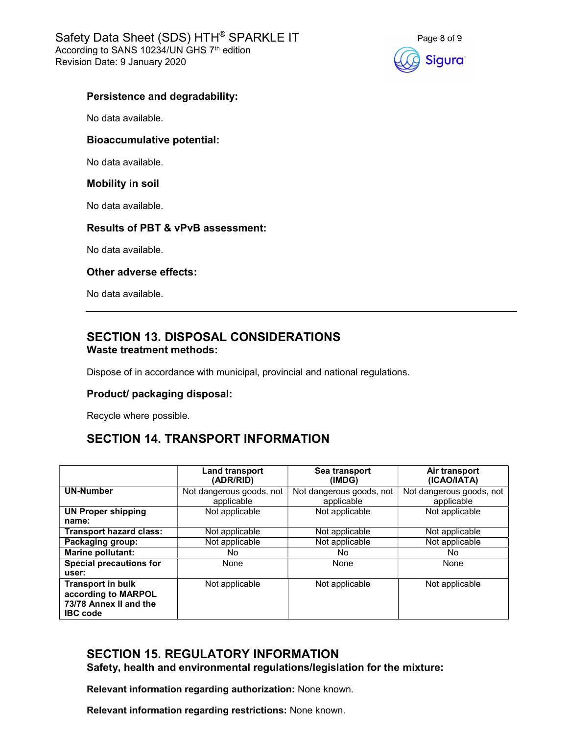

## Persistence and degradability:

No data available.

## Bioaccumulative potential:

No data available.

#### Mobility in soil

No data available.

## Results of PBT & vPvB assessment:

No data available.

#### Other adverse effects:

No data available.

# SECTION 13. DISPOSAL CONSIDERATIONS Waste treatment methods:

Dispose of in accordance with municipal, provincial and national regulations.

# Product/ packaging disposal:

Recycle where possible.

# SECTION 14. TRANSPORT INFORMATION

|                                                                                              | <b>Land transport</b><br>(ADR/RID)     | Sea transport<br>(IMDG)                | Air transport<br>(ICAO/IATA)           |
|----------------------------------------------------------------------------------------------|----------------------------------------|----------------------------------------|----------------------------------------|
| <b>UN-Number</b>                                                                             | Not dangerous goods, not<br>applicable | Not dangerous goods, not<br>applicable | Not dangerous goods, not<br>applicable |
| <b>UN Proper shipping</b><br>name:                                                           | Not applicable                         | Not applicable                         | Not applicable                         |
| <b>Transport hazard class:</b>                                                               | Not applicable                         | Not applicable                         | Not applicable                         |
| Packaging group:                                                                             | Not applicable                         | Not applicable                         | Not applicable                         |
| <b>Marine pollutant:</b>                                                                     | No.                                    | No.                                    | No.                                    |
| <b>Special precautions for</b><br>user:                                                      | None                                   | None                                   | None                                   |
| <b>Transport in bulk</b><br>according to MARPOL<br>73/78 Annex II and the<br><b>IBC</b> code | Not applicable                         | Not applicable                         | Not applicable                         |

# SECTION 15. REGULATORY INFORMATION

Safety, health and environmental regulations/legislation for the mixture:

Relevant information regarding authorization: None known.

Relevant information regarding restrictions: None known.